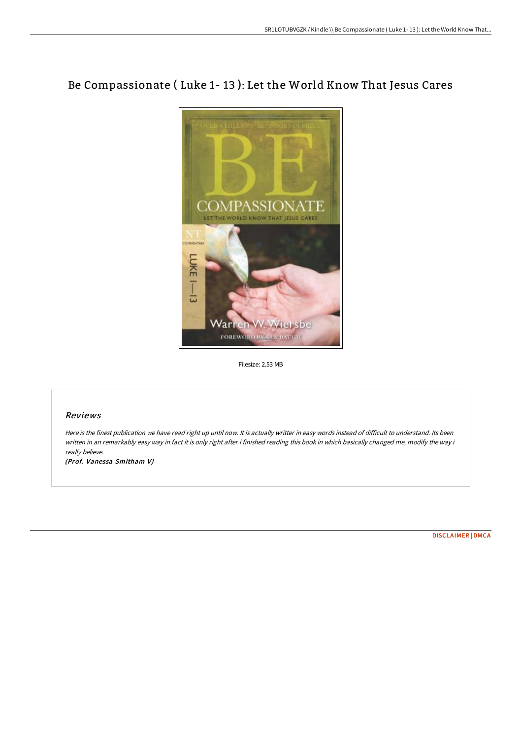## Be Compassionate ( Luke 1- 13 ): Let the World Know That Jesus Cares



Filesize: 2.53 MB

## Reviews

Here is the finest publication we have read right up until now. It is actually writter in easy words instead of difficult to understand. Its been written in an remarkably easy way in fact it is only right after i finished reading this book in which basically changed me, modify the way i really believe.

(Prof. Vanessa Smitham V)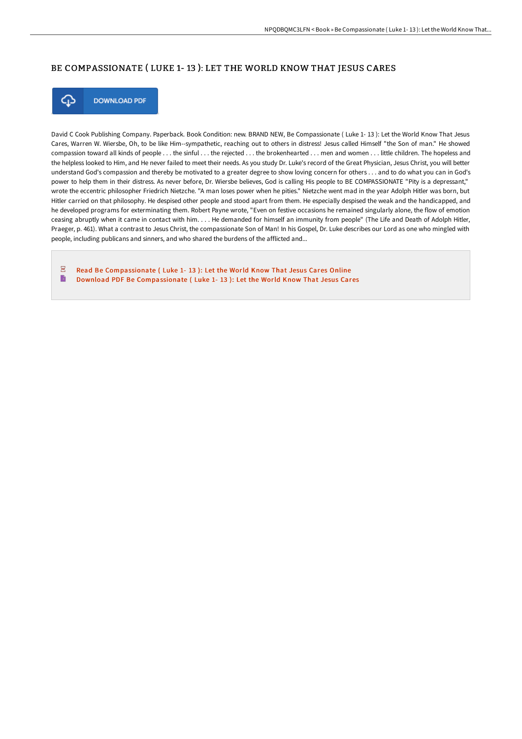## BE COMPASSIONATE ( LUKE 1- 13 ): LET THE WORLD KNOW THAT JESUS CARES



**DOWNLOAD PDF** 

David C Cook Publishing Company. Paperback. Book Condition: new. BRAND NEW, Be Compassionate ( Luke 1- 13 ): Let the World Know That Jesus Cares, Warren W. Wiersbe, Oh, to be like Him--sympathetic, reaching out to others in distress! Jesus called Himself "the Son of man." He showed compassion toward all kinds of people . . . the sinful . . . the rejected . . . the brokenhearted . . . men and women . . . little children. The hopeless and the helpless looked to Him, and He never failed to meet their needs. As you study Dr. Luke's record of the Great Physician, Jesus Christ, you will better understand God's compassion and thereby be motivated to a greater degree to show loving concern for others . . . and to do what you can in God's power to help them in their distress. As never before, Dr. Wiersbe believes, God is calling His people to BE COMPASSIONATE "Pity is a depressant," wrote the eccentric philosopher Friedrich Nietzche. "A man loses power when he pities." Nietzche went mad in the year Adolph Hitler was born, but Hitler carried on that philosophy. He despised other people and stood apart from them. He especially despised the weak and the handicapped, and he developed programs for exterminating them. Robert Payne wrote, "Even on festive occasions he remained singularly alone, the flow of emotion ceasing abruptly when it came in contact with him. . . . He demanded for himself an immunity from people" (The Life and Death of Adolph Hitler, Praeger, p. 461). What a contrast to Jesus Christ, the compassionate Son of Man! In his Gospel, Dr. Luke describes our Lord as one who mingled with people, including publicans and sinners, and who shared the burdens of the afflicted and...

 $\overline{p}$ Read Be [Compassionate](http://techno-pub.tech/be-compassionate-luke-1-13-let-the-world-know-th.html) ( Luke 1- 13 ): Let the World Know That Jesus Cares Online B Download PDF Be [Compassionate](http://techno-pub.tech/be-compassionate-luke-1-13-let-the-world-know-th.html) ( Luke 1- 13 ): Let the World Know That Jesus Cares